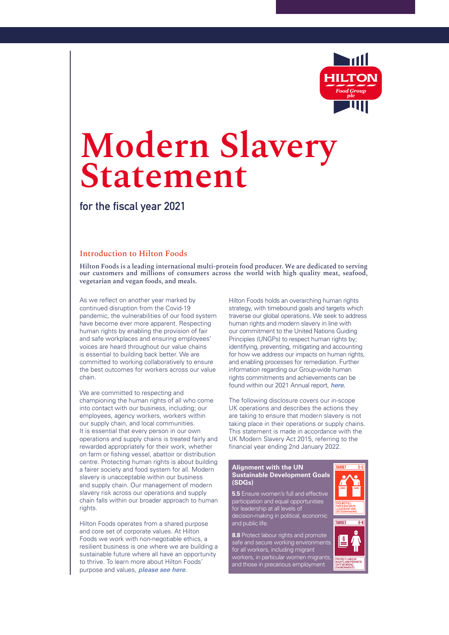

# **Modern Slavery Statement**

**for the fiscal year 2021** 

#### Introduction to Hilton Foods

Hilton Foods is a leading international multi-protein food producer. We are dedicated to serving our customers and millions of consumers across the world with high quality meat, seafood, vegetarian and vegan foods, and meals.

As we reflect on another year marked by continued disruption from the Covid-19 pandemic, the vulnerabilities of our food system have become ever more apparent. Respecting human rights by enabling the provision of fair and safe workplaces and ensuring employees' voices are heard throughout our value chains is essential to building back better. We are committed to working collaboratively to ensure the best outcomes for workers across our value chain.

We are committed to respecting and championing the human rights of all who come into contact with our business, including; our employees, agency workers, workers within our supply chain, and local communities. It is essential that every person in our own operations and supply chains is treated fairly and rewarded appropriately for their work, whether on farm or fishing vessel, abattoir or distribution centre. Protecting human rights is about building a fairer society and food system for all. Modern slavery is unacceptable within our business and supply chain. Our management of modern slavery risk across our operations and supply chain falls within our broader approach to human rights.

Hilton Foods operates from a shared purpose and core set of corporate values. At Hilton Foods we work with non-negotiable ethics, a resilient business is one where we are building a sustainable future where all have an opportunity to thrive. To learn more about Hilton Foods' purpose and values, *[please see here](https://www.hiltonfoodgroupplc.com/en/our-people/#our-values)*.

Hilton Foods holds an overarching human rights strategy, with timebound goals and targets which traverse our global operations. We seek to address human rights and modern slavery in line with our commitment to the United Nations Guiding Principles (UNGPs) to respect human rights by; identifying, preventing, mitigating and accounting for how we address our impacts on human rights, and enabling processes for remediation. Further information regarding our Group-wide human rights commitments and achievements can be found within our 2021 Annual report, [here.](https://www.hiltonfoodgroupplc.com/media/2081/2022-annual-report.pdf)

The following disclosure covers our in-scope UK operations and describes the actions they are taking to ensure that modern slavery is not taking place in their operations or supply chains. This statement is made in accordance with the UK Modern Slavery Act 2015, referring to the financial year ending 2nd January 2022.

#### Alignment with the UN Sustainable Development Goals (SDGs)

5.5 Ensure women's full and effective participation and equal opportunities for leadership at all levels of decision-making in political, economic and public life.

8.8 Protect labour rights and promote safe and secure working environments for all workers, including migrant workers, in particular women migrants, and those in precarious employment

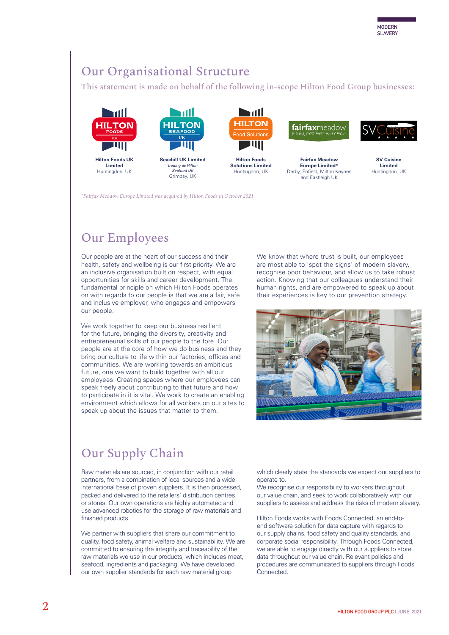## Our Organisational Structure

This statement is made on behalf of the following in-scope Hilton Food Group businesses:





trading as Hilton Seafood UK Grimbsy, UK



Hilton Foods Solutions Limited Huntingdon, UK

fairfaxmeadow

Fairfax Meadow Europe Limited\* Derby, Enfield, Milton Keynes and Eastleigh UK



SV Cuisine Limited Huntingdon, UK

*\*Fairfax Meadow Europe Limited was acquired by Hilton Foods in October 2021.* 

# Our Employees

Our people are at the heart of our success and their health, safety and wellbeing is our first priority. We are an inclusive organisation built on respect, with equal opportunities for skills and career development. The fundamental principle on which Hilton Foods operates on with regards to our people is that we are a fair, safe and inclusive employer, who engages and empowers our people.

We work together to keep our business resilient for the future, bringing the diversity, creativity and entrepreneurial skills of our people to the fore. Our people are at the core of how we do business and they bring our culture to life within our factories, offices and communities. We are working towards an ambitious future, one we want to build together with all our employees. Creating spaces where our employees can speak freely about contributing to that future and how to participate in it is vital. We work to create an enabling environment which allows for all workers on our sites to speak up about the issues that matter to them.

We know that where trust is built, our employees are most able to 'spot the signs' of modern slavery, recognise poor behaviour, and allow us to take robust action. Knowing that our colleagues understand their human rights, and are empowered to speak up about their experiences is key to our prevention strategy.



## Our Supply Chain

Raw materials are sourced, in conjunction with our retail partners, from a combination of local sources and a wide international base of proven suppliers. It is then processed, packed and delivered to the retailers' distribution centres or stores. Our own operations are highly automated and use advanced robotics for the storage of raw materials and finished products.

We partner with suppliers that share our commitment to quality, food safety, animal welfare and sustainability. We are committed to ensuring the integrity and traceability of the raw materials we use in our products, which includes meat, seafood, ingredients and packaging. We have developed our own supplier standards for each raw material group

which clearly state the standards we expect our suppliers to operate to.

We recognise our responsibility to workers throughout our value chain, and seek to work collaboratively with our suppliers to assess and address the risks of modern slavery.

Hilton Foods works with Foods Connected, an end-toend software solution for data capture with regards to our supply chains, food safety and quality standards, and corporate social responsibility. Through Foods Connected, we are able to engage directly with our suppliers to store data throughout our value chain. Relevant policies and procedures are communicated to suppliers through Foods **Connected**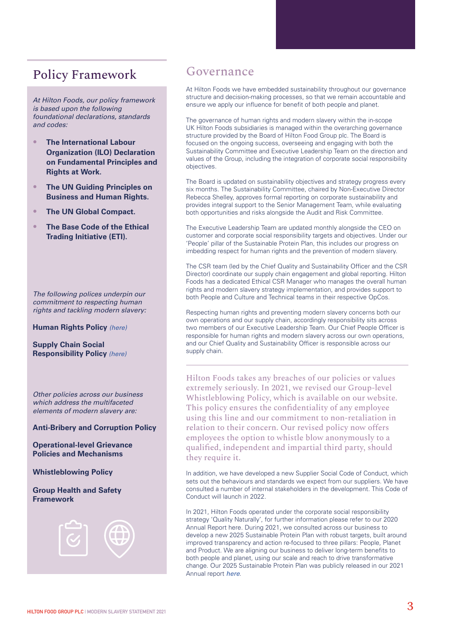## Policy Framework

At Hilton Foods, our policy framework is based upon the following foundational declarations, standards and codes:

- The International Labour Organization (ILO) Declaration on Fundamental Principles and Rights at Work.
- The UN Guiding Principles on Business and Human Rights.
- The UN Global Compact.
- **The Base Code of the Ethical** Trading Initiative (ETI).

The following polices underpin our commitment to respecting human rights and tackling modern slavery:

Human Rights Policy [\(here\)](https://www.hiltonfoodgroupplc.com/media/2048/gpol015-human-rights-policy-v1-03082021.pdf)

Supply Chain Social Responsibility Policy [\(here\)](https://www.hiltonfoodgroupplc.com/media/2049/gpol016-supply-chain-social-responsibility-policy-v1-03082021.pdf)

Other policies across our business which address the multifaceted elements of modern slavery are:

Anti-Bribery and Corruption Policy

Operational-level Grievance Policies and Mechanisms

Whistleblowing Policy

Group Health and Safety Framework



### Governance

At Hilton Foods we have embedded sustainability throughout our governance structure and decision-making processes, so that we remain accountable and ensure we apply our influence for benefit of both people and planet.

The governance of human rights and modern slavery within the in-scope UK Hilton Foods subsidiaries is managed within the overarching governance structure provided by the Board of Hilton Food Group plc. The Board is focused on the ongoing success, overseeing and engaging with both the Sustainability Committee and Executive Leadership Team on the direction and values of the Group, including the integration of corporate social responsibility objectives.

The Board is updated on sustainability objectives and strategy progress every six months. The Sustainability Committee, chaired by Non-Executive Director Rebecca Shelley, approves formal reporting on corporate sustainability and provides integral support to the Senior Management Team, while evaluating both opportunities and risks alongside the Audit and Risk Committee.

The Executive Leadership Team are updated monthly alongside the CEO on customer and corporate social responsibility targets and objectives. Under our 'People' pillar of the Sustainable Protein Plan, this includes our progress on imbedding respect for human rights and the prevention of modern slavery.

The CSR team (led by the Chief Quality and Sustainability Officer and the CSR Director) coordinate our supply chain engagement and global reporting. Hilton Foods has a dedicated Ethical CSR Manager who manages the overall human rights and modern slavery strategy implementation, and provides support to both People and Culture and Technical teams in their respective OpCos.

Respecting human rights and preventing modern slavery concerns both our own operations and our supply chain, accordingly responsibility sits across two members of our Executive Leadership Team. Our Chief People Officer is responsible for human rights and modern slavery across our own operations, and our Chief Quality and Sustainability Officer is responsible across our supply chain.

Hilton Foods takes any breaches of our policies or values extremely seriously. In 2021, we revised our Group-level Whistleblowing Policy, which is available on our website. This policy ensures the confidentiality of any employee using this line and our commitment to non-retaliation in relation to their concern. Our revised policy now offers employees the option to whistle blow anonymously to a qualified, independent and impartial third party, should they require it.

In addition, we have developed a new Supplier Social Code of Conduct, which sets out the behaviours and standards we expect from our suppliers. We have consulted a number of internal stakeholders in the development. This Code of Conduct will launch in 2022.

In 2021, Hilton Foods operated under the corporate social responsibility strategy 'Quality Naturally', for further information please refer to our 2020 Annual Report here. During 2021, we consulted across our business to develop a new 2025 Sustainable Protein Plan with robust targets, built around improved transparency and action re-focused to three pillars: People, Planet and Product. We are aligning our business to deliver long-term benefits to both people and planet, using our scale and reach to drive transformative change. Our 2025 Sustainable Protein Plan was publicly released in our 2021 Annual report [here](https://www.hiltonfoodgroupplc.com/media/2081/2022-annual-report.pdf).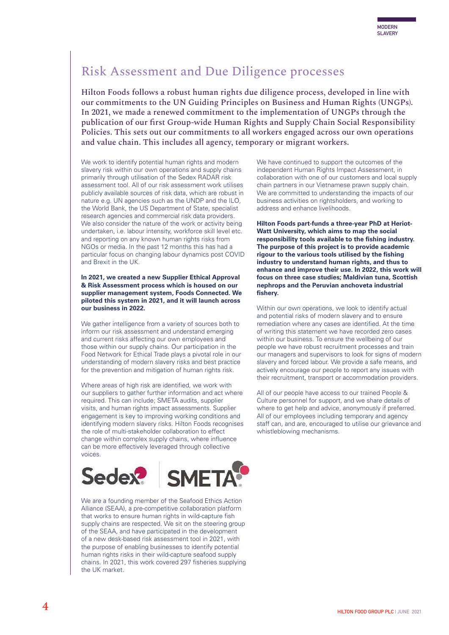## Risk Assessment and Due Diligence processes

Hilton Foods follows a robust human rights due diligence process, developed in line with our commitments to the UN Guiding Principles on Business and Human Rights (UNGPs). In 2021, we made a renewed commitment to the implementation of UNGPs through the publication of our first Group-wide Human Rights and Supply Chain Social Responsibility Policies. This sets out our commitments to all workers engaged across our own operations and value chain. This includes all agency, temporary or migrant workers.

We work to identify potential human rights and modern slavery risk within our own operations and supply chains primarily through utilisation of the Sedex RADAR risk assessment tool. All of our risk assessment work utilises publicly available sources of risk data, which are robust in nature e.g. UN agencies such as the UNDP and the ILO, the World Bank, the US Department of State, specialist research agencies and commercial risk data providers. We also consider the nature of the work or activity being undertaken, i.e. labour intensity, workforce skill level etc. and reporting on any known human rights risks from NGOs or media. In the past 12 months this has had a particular focus on changing labour dynamics post COVID and Brexit in the UK.

In 2021, we created a new Supplier Ethical Approval & Risk Assessment process which is housed on our supplier management system, Foods Connected. We piloted this system in 2021, and it will launch across our business in 2022.

We gather intelligence from a variety of sources both to inform our risk assessment and understand emerging and current risks affecting our own employees and those within our supply chains. Our participation in the Food Network for Ethical Trade plays a pivotal role in our understanding of modern slavery risks and best practice for the prevention and mitigation of human rights risk.

Where areas of high risk are identified, we work with our suppliers to gather further information and act where required. This can include; SMETA audits, supplier visits, and human rights impact assessments. Supplier engagement is key to improving working conditions and identifying modern slavery risks. Hilton Foods recognises the role of multi-stakeholder collaboration to effect change within complex supply chains, where influence can be more effectively leveraged through collective voices.



We are a founding member of the Seafood Ethics Action Alliance (SEAA), a pre-competitive collaboration platform that works to ensure human rights in wild-capture fish supply chains are respected. We sit on the steering group of the SEAA, and have participated in the development of a new desk-based risk assessment tool in 2021, with the purpose of enabling businesses to identify potential human rights risks in their wild-capture seafood supply chains. In 2021, this work covered 297 fisheries supplying the UK market.

We have continued to support the outcomes of the independent Human Rights Impact Assessment, in collaboration with one of our customers and local supply chain partners in our Vietnamese prawn supply chain. We are committed to understanding the impacts of our business activities on rightsholders, and working to address and enhance livelihoods.

Hilton Foods part-funds a three-year PhD at Heriot-Watt University, which aims to map the social responsibility tools available to the fishing industry. The purpose of this project is to provide academic rigour to the various tools utilised by the fishing industry to understand human rights, and thus to enhance and improve their use. In 2022, this work will focus on three case studies; Maldivian tuna, Scottish nephrops and the Peruvian anchoveta industrial fishery.

Within our own operations, we look to identify actual and potential risks of modern slavery and to ensure remediation where any cases are identified. At the time of writing this statement we have recorded zero cases within our business. To ensure the wellbeing of our people we have robust recruitment processes and train our managers and supervisors to look for signs of modern slavery and forced labour. We provide a safe means, and actively encourage our people to report any issues with their recruitment, transport or accommodation providers.

All of our people have access to our trained People & Culture personnel for support, and we share details of where to get help and advice, anonymously if preferred. All of our employees including temporary and agency staff can, and are, encouraged to utilise our grievance and whistleblowing mechanisms.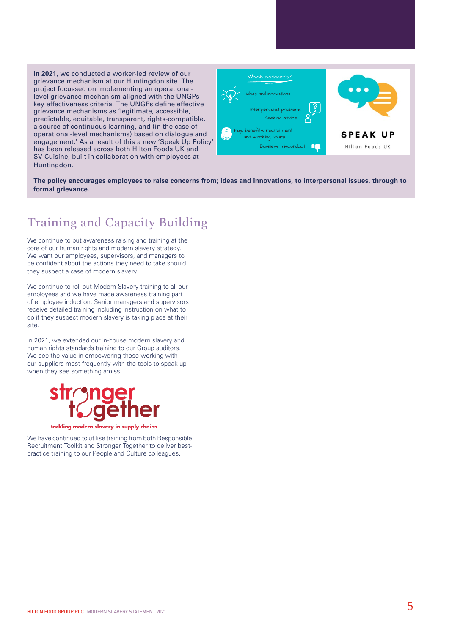In 2021, we conducted a worker-led review of our grievance mechanism at our Huntingdon site. The project focussed on implementing an operationallevel grievance mechanism aligned with the UNGPs key effectiveness criteria. The UNGPs define effective grievance mechanisms as 'legitimate, accessible, predictable, equitable, transparent, rights-compatible, a source of continuous learning, and (in the case of operational-level mechanisms) based on dialogue and engagement.' As a result of this a new 'Speak Up Policy' has been released across both Hilton Foods UK and SV Cuisine, built in collaboration with employees at Huntingdon.



Formal

The policy encourages employees to raise concerns from; ideas and innovations, to interpersonal issues, through to formal grievance.

## Training and Capacity Building

We continue to put awareness raising and training at the core of our human rights and modern slavery strategy. We want our employees, supervisors, and managers to be confident about the actions they need to take should they suspect a case of modern slavery.

We continue to roll out Modern Slavery training to all our employees and we have made awareness training part of employee induction. Senior managers and supervisors receive detailed training including instruction on what to do if they suspect modern slavery is taking place at their site.

In 2021, we extended our in-house modern slavery and human rights standards training to our Group auditors. We see the value in empowering those working with our suppliers most frequently with the tools to speak up when they see something amiss.



tackling modern slavery in supply chains

We have continued to utilise training from both Responsible Recruitment Toolkit and Stronger Together to deliver bestpractice training to our People and Culture colleagues.